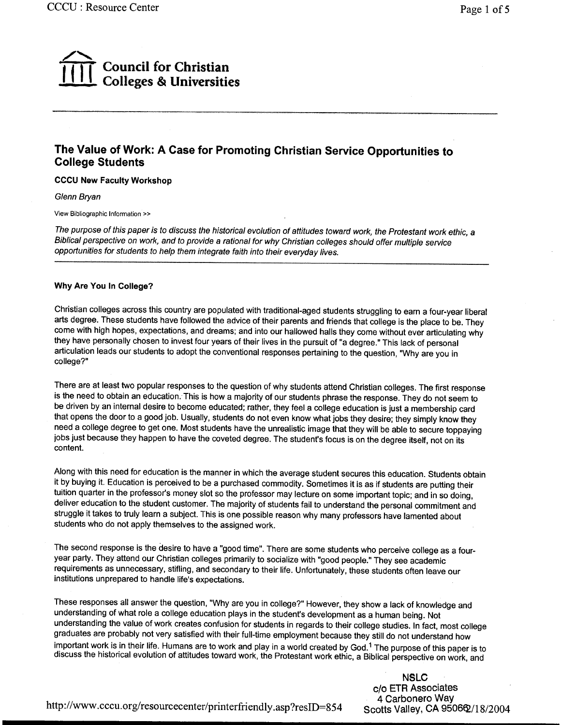# Council for Christian Colleges & Universities

## The Value of Work: A Case for Promoting Christian Service Opportunities to College Students

CCCU New Faculty Workshop

Glenn Bryan

View Bibliographic Information »

The purpose of this paper is to discuss the historical evolution of attitudes toward work, the Protestant work ethic, a Biblical perspective on work, and to provide a rational for why Christian colleges should offer multiple service opportunities for students to help them integrate faith into their everyday lives.

#### Why Are You In College?

Christian colleges across this country are populated with traditional-aged students struggling to earn a four-year liberal arts degree. These students have followed the advice of their parents and friends that college is the place to be. They come with high hopes, expectations, and dreams; and into our hallowed halls they come without ever articulating why they have personally chosen to invest four years of their lives in the pursuit of "a degree." This lack of personal articulation leads our students to adopt the conventional responses pertaining to the question, "Why are you in college?"

There are at least two popular responses to the question of why students attend Christian colleges. The first response is the need to obtain an education. This is how a majority of our students phrase the response. They do not seem to be driven by an internal desire to become educated; rather, they feel a college education is just a membership card that opens the door to a good job. Usually, students do not even know what jobs they desire; they simply know they need a college degree to get one. Most students have the unrealistic image that they will be able to secure toppaying jobs just because they happen to have the coveted degree. The student's focus is on the degree itself, not on its content.

Along with this need for education is the manner in which the average student secures this education. Students obtain it by buying it. Education is perceived to be a purchased commodity. Sometimes it is as if students are putting their tuition quarter in the professor's money slot so the professor may lecture on some important topic; and in so doing, deliver education to the student customer. The majority of students fail to understand the personal commitment and struggle it takes to truly learn a subject. This is one possible reason why many professors have lamented about students who do not apply themselves to the assigned work.

The second response is the desire to have a "good time". There are some students who perceive college as a fouryear party. They attend our Christian colleges primarily to socialize with "good people." They see academic requirements as unnecessary, stifling, and secondary to their life. Unfortunately, these students often leave our institutions unprepared to handle life's expectations.

These responses all answer the question, "Why are you in college?" However, they show a lack of knowledge and understanding of what role a college education plays in the student's development as a human being. Not understanding the value of work creates confusion for students in regards to their college studies. In fact, most college graduates are probably not very satisfied with their full-time employment because they still do not understand how important work is in their life. Humans are to work and play in a world created by God.<sup>1</sup> The purpose of this paper is to discuss the historical evolution of attitudes toward work, the Protestant work ethic, a Biblical pe

> NSLC c/o ETR Associates 4 Carbonero Way Scotts Valley, CA 9506 $Q/18/2004$

http://www .cccu.org/resourcecenter/printerfriendly .asp ?resiD=854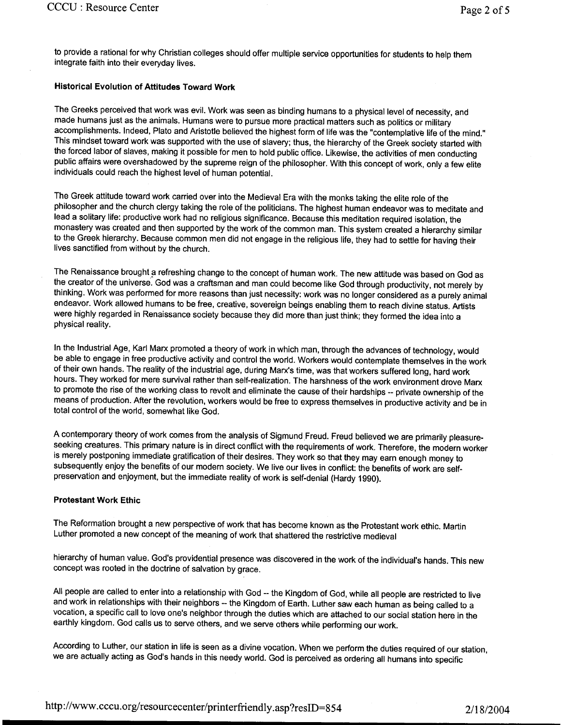to provide a rational for why Christian colleges should offer multiple service opportunities for students to help them integrate faith into their everyday lives.

### **Historical Evolution of Attitudes Toward Work**

The Greeks perceived that work was evil. Work was seen as binding humans to a physical level of necessity, and made humans just as the animals. Humans were to pursue more practical matters such as politics or military accomplishments. Indeed, Plato and Aristotle believed the highest form of life was the "contemplative life of the mind." This mindset toward work was supported with the use of slavery; thus, the hierarchy of the Greek society started with the forced labor of slaves, making it possible for men to hold public office. Likewise, the activities of men conducting public affairs were overshadowed by the supreme reign of the philosopher. With this concept of work, only a few elite individuals could reach the highest level of human potential.

The Greek attitude toward work carried over into the Medieval Era with the monks taking the elite role of the philosopher and the church clergy taking the role of the politicians. The highest human endeavor was to meditate and lead a solitary life: productive work had no religious significance. Because this meditation required isolation, the monastery was created and then supported by the work of the common man. This system created a hierarchy similar to the Greek hierarchy. Because common men did not engage in the religious life, they had to settle for having their lives sanctified from without by the church.

The Renaissance brought a refreshing change to the concept of human work. The new attitude was based on God as the creator of the universe. God was a craftsman and man could become like God through productivity, not merely by thinking. Work was performed for more reasons than just necessity: work was no longer considered as a purely animal endeavor. Work allowed humans to be free, creative, sovereign beings enabling them to reach divine status. Artists were highly regarded in Renaissance society because they did more than just think; they formed the idea into a physical reality.

In the Industrial Age, Karl Marx promoted a theory of work in which man, through the advances of technology, would be able to engage in free productive activity and control the world. Workers would contemplate themselves in the work of their own hands. The reality of the industrial age, during Marx's time, was that workers suffered long, hard work hours. They worked for mere survival rather than self-realization. The harshness of the work environment drove Marx to promote the rise of the working class to revolt and eliminate the cause of their hardships -- private ownership of the means of production. After the revolution, workers would be free to express themselves in productive activity and be in total control of the world, somewhat like God.

A contemporary theory of work comes from the analysis of Sigmund Freud. Freud believed we are primarily pleasureseeking creatures. This primary nature is in direct conflict with the requirements of work. Therefore, the modern worker is merely postponing immediate gratification of their desires. They work so that they may earn enough money to subsequently enjoy the benefits of our modern society. We live our lives in conflict: the benefits of work are selfpreservation and enjoyment, but the immediate reality of work is self-denial (Hardy 1990).

#### **Protestant Work Ethic**

The Reformation brought a new perspective of work that has become known as the Protestant work ethic. Martin Luther promoted a new concept of the meaning of work that shattered the restrictive medieval

hierarchy of human value. God's providential presence was discovered in the work of the individual's hands. This new concept was rooted in the doctrine of salvation by grace.

All people are called to enter into a relationship with God -- the Kingdom of God, while all people are restricted to live and work in relationships with their neighbors -- the Kingdom of Earth. Luther saw each human as being called to a vocation, a specific call to love one's neighbor through the duties which are attached to our social station here in the earthly kingdom. God calls us to serve others, and we serve others while performing our work.

According to Luther, our station in life is seen as a divine vocation. When we perform the duties required of our station, we are actually acting as God's hands in this needy world. God is perceived as ordering all humans into specific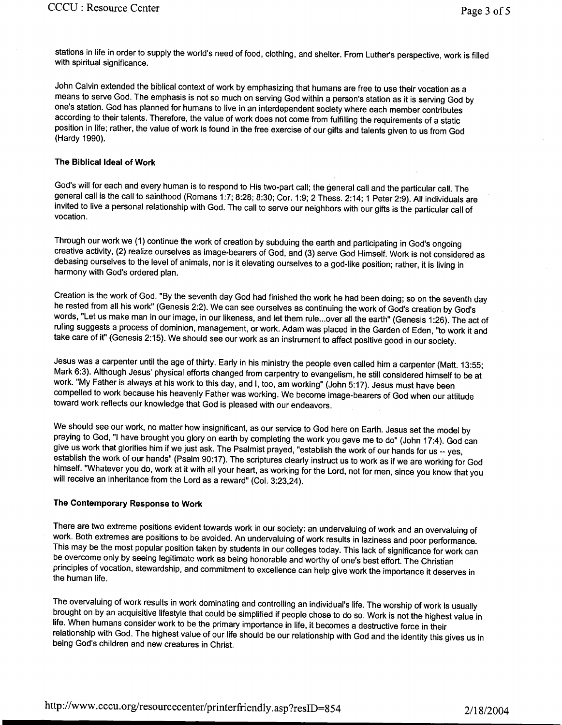stations in life in order to supply the world's need of food, clothing, and shelter. From Luther's perspective, work is filled with spiritual significance.

John Calvin extended the biblical context of work by emphasizing that humans are free to use their vocation as a means to serve God. The emphasis is not so much on serving God within a person's station as it is serving God by one's station. God has planned for humans to live in an interdependent society where each member contributes according to their talents. Therefore, the value of work does not come from fulfilling the requirements of a static position in life; rather, the value of work is found in the free exercise of our gifts and talents given to us from God (Hardy 1990).

### **The Biblical Ideal of Work**

God's will for each and every human is to respond to His two-part call; the general call and the particular call. The general call is the call to sainthood (Romans 1:7; 8:28; 8:30; Cor. 1:9; 2 Thess. 2:14; 1 Peter 2:9). All individuals are invited to live a personal relationship with God. The call to serve our neighbors with our gifts is the particular call of vocation.

Through our work we (1) continue the work of creation by subduing the earth and participating in God's ongoing creative activity, (2) realize ourselves as image-bearers of God, and (3) serve God Himself. Work is not considered as debasing ourselves to the level of animals, nor is it elevating ourselves to a god-like position; rather, it is living in harmony with God's ordered plan.

Creation is the work of God. "By the seventh day God had finished the work he had been doing; so on the seventh day he rested from all his work" (Genesis 2:2). We can see ourselves as continuing the work of God's creation by God's words, "Let us make man in our image, in our likeness, and let them rule...over all the earth" (Genesis 1:26). The act of ruling suggests a process of dominion, management, or work. Adam was placed in the Garden of Eden, "to work it and take care of it" (Genesis 2: 15). We should see our work as an instrument to affect positive good in our society.

Jesus was a carpenter until the age of thirty. Early in his ministry the people even called him a carpenter (Matt. 13:55; Mark 6:3). Although Jesus' physical efforts changed from carpentry to evangelism, he still considered himself to be at work. "My Father is always at his work to this day, and I, too, am working" (John 5:17). Jesus must have been compelled to work because his heavenly Father was working. We become image-bearers of God when our attitude toward work reflects our knowledge that God is pleased with our endeavors.

We should see our work, no matter how insignificant, as our service to God here on Earth. Jesus set the model by praying to God, "I have brought you glory on earth by completing the work you gave me to do" (John 17:4). God can give us work that glorifies him if we just ask. The Psalmist prayed, "establish the work of our hands for us -- yes, establish the work of our hands" (Psalm 90:17). The scriptures clearly instruct us to work as if we are working for God himself. "Whatever you do, work at it with all your heart, as working for the Lord, not for men, since you know that you will receive an inheritance from the Lord as a reward" (Col. 3:23,24).

## **The Contemporary Response to Work**

There are two extreme positions evident towards work in our society: an undervaluing of work and an overvaluing of work. Both extremes are positions to be avoided. An undervaluing of work results in laziness and poor performance. This may be the most popular position taken by students in our colleges today. This lack of significance for work can be overcome only by seeing legitimate work as being honorable and worthy of one's best effort. The Christian principles of vocation, stewardship, and commitment to excellence can help give work the importance it deserves in the human life.

The overvaluing of work results in work dominating and controlling an individual's life. The worship of work is usually brought on by an acquisitive lifestyle that could be simplified if people chose to do so. Work is not the highest value in life. When humans consider work to be the primary importance in life, it becomes a destructive force in their relationship with God. The highest value of our life should be our relationship with God and the identity this gives us in being God's children and new creatures in Christ.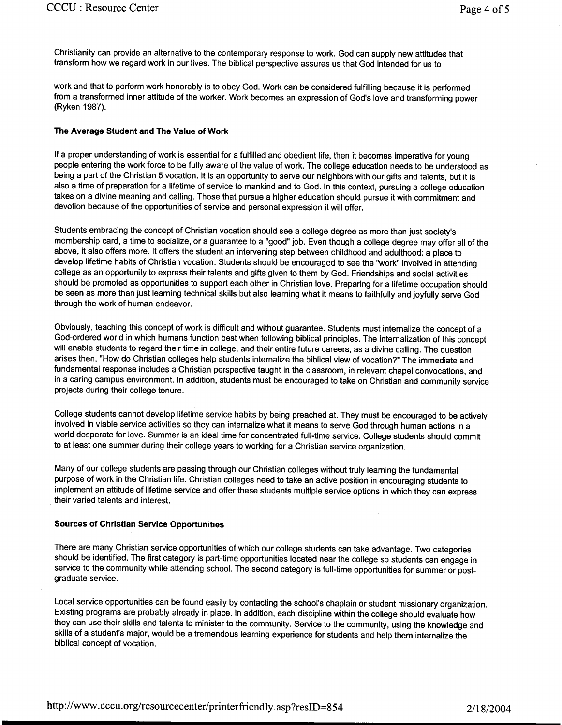Christianity can provide an alternative to the contemporary response to work. God can supply new attitudes that transform how we regard work in our lives. The biblical perspective assures us that God intended for us to

work and that to perform work honorably is to obey God. Work can be considered fulfilling because it is performed from a transformed inner attitude of the worker. Work becomes an expression of God's love and transforming power (Ryken 1987).

## **The Average Student and The Value of Work**

If a proper understanding of work is essential for a fulfilled and obedient life, then it becomes imperative for young people entering the work force to be fully aware of the value of work. The college education needs to be understood as being a part of the Christian 5 vocation. It is an opportunity to serve our neighbors with our gifts and talents, but it is also a time of preparation for a lifetime of service to mankind and to God. In this context, pursuing a college education takes on a divine meaning and calling. Those that pursue a higher education should pursue it with commitment and devotion because of the opportunities of service and personal expression it will offer.

Students embracing the concept of Christian vocation should see a college degree as more than just society's membership card, a time to socialize, or a guarantee to a "good" job. Even though a college degree may offer all of the above, it also offers more. It offers the student an intervening step between childhood and adulthood: a place to develop lifetime habits of Christian vocation. Students should be encouraged to see the "work" involved in attending college as an opportunity to express their talents and gifts given to them by God. Friendships and social activities should be promoted as opportunities to support each other in Christian love. Preparing for a lifetime occupation should be seen as more than just learning technical skills but also learning what it means to faithfully and joyfully serve God through the work of human endeavor.

Obviously, teaching this concept of work is difficult and without guarantee. Students must internalize the concept of <sup>a</sup> God-ordered world in which humans function best when following biblical principles. The internalization of this concept will enable students to regard their time in college, and their entire future careers, as a divine calling. The question arises then, "How do Christian colleges help students internalize the biblical view of vocation?" The immediate and fundamental response includes a Christian perspective taught in the classroom, in relevant chapel convocations, and in a caring campus environment. In addition, students must be encouraged to take on Christian and community service projects during their college tenure.

College students cannot develop lifetime service habits by being preached at. They must be encouraged to be actively involved in viable service activities so they can internalize what it means to serve God through human actions in a world desperate for love. Summer is an ideal time for concentrated full-time service. College students should commit to at least one summer during their college years to working for a Christian service organization.

Many of our college students are passing through our Christian colleges without truly learning the fundamental purpose of work in the Christian life. Christian colleges need to take an active position in encouraging students to implement an attitude of lifetime service and offer these students multiple service options in which they can express their varied talents and interest.

#### **Sources of Christian Service Opportunities**

There are many Christian service opportunities of which our college students can take advantage. Two categories should be identified. The first category is part-time opportunities located near the college so students can engage in service to the community while attending school. The second category is full-time opportunities for summer or postgraduate service.

Local service opportunities can be found easily by contacting the school's chaplain or student missionary organization. Existing programs are probably already in place. In addition, each discipline within the college should evaluate how they can use their skills and talents to minister to the community. Service to the community, using the knowledge and skills of a student's major, would be a tremendous learning experience for students and help them internalize the biblical concept of vocation.